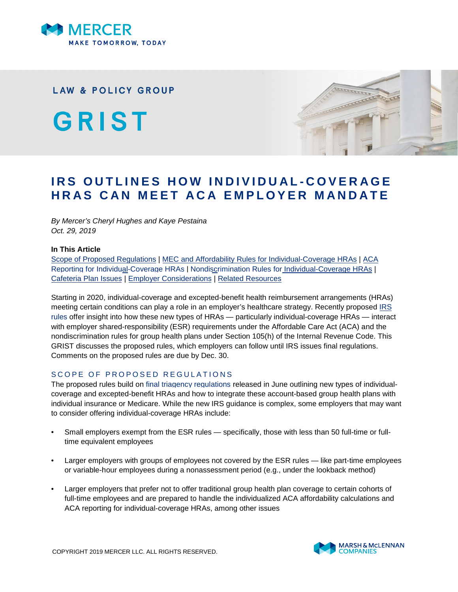

**LAW & POLICY GROUP** 

GRIST



# **IRS OUTLINES HOW INDIVIDUAL-COVERAGE HRAS CAN MEET ACA EMPLOYER MANDATE**

*By Mercer's Cheryl Hughes and Kaye Pestaina Oct. 29, 2019*

#### **In This Article**

[Scope of Proposed Regulations](#page-0-0) | [MEC and Affordability Rules for Individual-Coverage HRAs](#page-2-0) | [ACA](#page-4-0) [Reporting for Individual-Coverage HRAs](#page-4-0) | [Nondiscrimination Rules for Individual-Coverage HRAs](#page-5-0) | [Cafeteria Plan Issues](#page-5-1) | [Employer Considerations](#page-6-0) | [Related Resources](#page-7-0)

Starting in 2020, individual-coverage and excepted-benefit health reimbursement arrangements (HRAs) meeting certain conditions can play a role in an employer's healthcare strategy. Recently proposed [IRS](https://www.federalregister.gov/documents/2019/09/30/2019-20034/application-of-the-employer-shared-responsibility-provisions-and-certain-nondiscrimination-rules-to) [rules](https://www.federalregister.gov/documents/2019/09/30/2019-20034/application-of-the-employer-shared-responsibility-provisions-and-certain-nondiscrimination-rules-to) offer insight into how these new types of HRAs — particularly individual-coverage HRAs — interact with employer shared-responsibility (ESR) requirements under the Affordable Care Act (ACA) and the nondiscrimination rules for group health plans under Section 105(h) of the Internal Revenue Code. This GRIST discusses the proposed rules, which employers can follow until IRS issues final regulations. Comments on the proposed rules are due by Dec. 30.

## <span id="page-0-0"></span>SCOPE OF PROPOSED REGULATIONS

The proposed rules build on [final triagency regulations](https://www.federalregister.gov/documents/2019/06/20/2019-12571/health-reimbursement-arrangements-and-other-account-based-group-health-plans) released in June outlining new types of individualcoverage and excepted-benefit HRAs and how to integrate these account-based group health plans with individual insurance or Medicare. While the new IRS guidance is complex, some employers that may want to consider offering individual-coverage HRAs include:

- Small employers exempt from the ESR rules specifically, those with less than 50 full-time or fulltime equivalent employees
- Larger employers with groups of employees not covered by the ESR rules like part-time employees or variable-hour employees during a nonassessment period (e.g., under the lookback method)
- Larger employers that prefer not to offer traditional group health plan coverage to certain cohorts of full-time employees and are prepared to handle the individualized ACA affordability calculations and ACA reporting for individual-coverage HRAs, among other issues

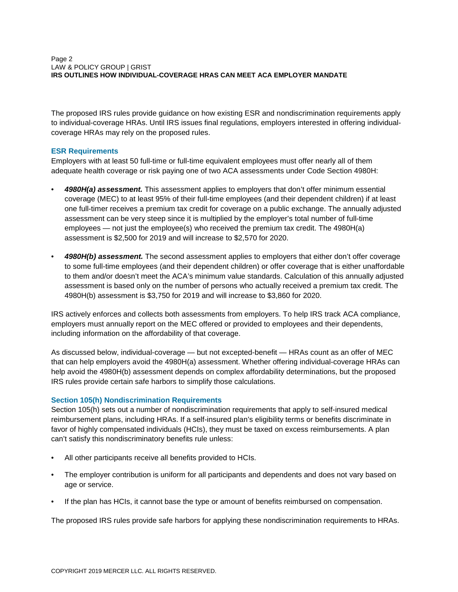The proposed IRS rules provide guidance on how existing ESR and nondiscrimination requirements apply to individual-coverage HRAs. Until IRS issues final regulations, employers interested in offering individualcoverage HRAs may rely on the proposed rules.

## **ESR Requirements**

Employers with at least 50 full-time or full-time equivalent employees must offer nearly all of them adequate health coverage or risk paying one of two ACA assessments under Code Section 4980H:

- *4980H(a) assessment.* This assessment applies to employers that don't offer minimum essential coverage (MEC) to at least 95% of their full-time employees (and their dependent children) if at least one full-timer receives a premium tax credit for coverage on a public exchange. The annually adjusted assessment can be very steep since it is multiplied by the employer's total number of full-time employees — not just the employee(s) who received the premium tax credit. The 4980H(a) assessment is \$2,500 for 2019 and will increase to \$2,570 for 2020.
- 4980H(b) assessment. The second assessment applies to employers that either don't offer coverage to some full-time employees (and their dependent children) or offer coverage that is either unaffordable to them and/or doesn't meet the ACA's minimum value standards. Calculation of this annually adjusted assessment is based only on the number of persons who actually received a premium tax credit. The 4980H(b) assessment is \$3,750 for 2019 and will increase to \$3,860 for 2020.

IRS actively enforces and collects both assessments from employers. To help IRS track ACA compliance, employers must annually report on the MEC offered or provided to employees and their dependents, including information on the affordability of that coverage.

As discussed below, individual-coverage — but not excepted-benefit — HRAs count as an offer of MEC that can help employers avoid the 4980H(a) assessment. Whether offering individual-coverage HRAs can help avoid the 4980H(b) assessment depends on complex affordability determinations, but the proposed IRS rules provide certain safe harbors to simplify those calculations.

## **Section 105(h) Nondiscrimination Requirements**

Section 105(h) sets out a number of nondiscrimination requirements that apply to self-insured medical reimbursement plans, including HRAs. If a self-insured plan's eligibility terms or benefits discriminate in favor of highly compensated individuals (HCIs), they must be taxed on excess reimbursements. A plan can't satisfy this nondiscriminatory benefits rule unless:

- All other participants receive all benefits provided to HCIs.
- The employer contribution is uniform for all participants and dependents and does not vary based on age or service.
- If the plan has HCIs, it cannot base the type or amount of benefits reimbursed on compensation.

The proposed IRS rules provide safe harbors for applying these nondiscrimination requirements to HRAs.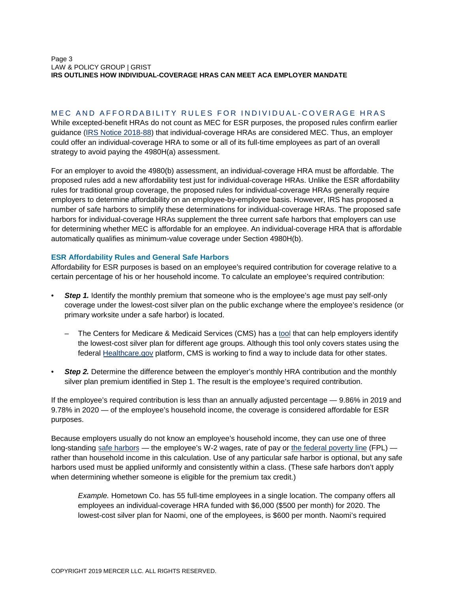#### Page 3 LAW & POLICY GROUP | GRIST **IRS OUTLINES HOW INDIVIDUAL-COVERAGE HRAS CAN MEET ACA EMPLOYER MANDATE**

## <span id="page-2-0"></span>MEC AND AFFORDABILITY RULES FOR INDIVIDUAL-COVERAGE HRAS

While excepted-benefit HRAs do not count as MEC for ESR purposes, the proposed rules confirm earlier guidance ([IRS Notice 2018-88](https://www.irs.gov/pub/irs-drop/n-18-88.pdf)) that individual-coverage HRAs are considered MEC. Thus, an employer could offer an individual-coverage HRA to some or all of its full-time employees as part of an overall strategy to avoid paying the 4980H(a) assessment.

For an employer to avoid the 4980(b) assessment, an individual-coverage HRA must be affordable. The proposed rules add a new affordability test just for individual-coverage HRAs. Unlike the ESR affordability rules for traditional group coverage, the proposed rules for individual-coverage HRAs generally require employers to determine affordability on an employee-by-employee basis. However, IRS has proposed a number of safe harbors to simplify these determinations for individual-coverage HRAs. The proposed safe harbors for individual-coverage HRAs supplement the three current safe harbors that employers can use for determining whether MEC is affordable for an employee. An individual-coverage HRA that is affordable automatically qualifies as minimum-value coverage under Section 4980H(b).

## **ESR Affordability Rules and General Safe Harbors**

Affordability for ESR purposes is based on an employee's required contribution for coverage relative to a certain percentage of his or her household income. To calculate an employee's required contribution:

- **Step 1.** Identify the monthly premium that someone who is the employee's age must pay self-only coverage under the lowest-cost silver plan on the public exchange where the employee's residence (or primary worksite under a safe harbor) is located.
	- The Centers for Medicare & Medicaid Services (CMS) has a [tool](https://www.cms.gov/CCIIO/Programs-and-Initiatives/Employer-Initiatives/Downloads/PY19-HRA-Employer-Look-Up-Table.xlsm) that can help employers identify the lowest-cost silver plan for different age groups. Although this tool only covers states using the federal [Healthcare.gov](https://www.healthcare.gov/) platform, CMS is working to find a way to include data for other states.
- **Step 2.** Determine the difference between the employer's monthly HRA contribution and the monthly silver plan premium identified in Step 1. The result is the employee's required contribution.

If the employee's required contribution is less than an annually adjusted percentage — 9.86% in 2019 and 9.78% in 2020 — of the employee's household income, the coverage is considered affordable for ESR purposes.

Because employers usually do not know an employee's household income, they can use one of three long-standing [safe harbors](https://www.irs.gov/affordable-care-act/employers/questions-and-answers-on-employer-shared-responsibility-provisions-under-the-affordable-care-act#Affordability) — the employee's W-2 wages, rate of pay or [the federal poverty line](https://aspe.hhs.gov/poverty-guidelines) (FPL) rather than household income in this calculation. Use of any particular safe harbor is optional, but any safe harbors used must be applied uniformly and consistently within a class. (These safe harbors don't apply when determining whether someone is eligible for the premium tax credit.)

*Example.* Hometown Co. has 55 full-time employees in a single location. The company offers all employees an individual-coverage HRA funded with \$6,000 (\$500 per month) for 2020. The lowest-cost silver plan for Naomi, one of the employees, is \$600 per month. Naomi's required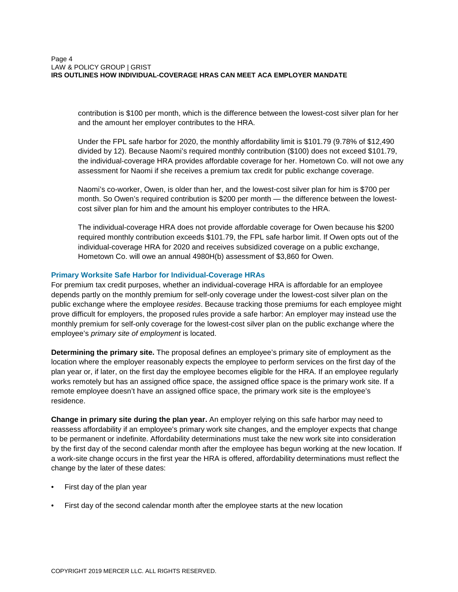contribution is \$100 per month, which is the difference between the lowest-cost silver plan for her and the amount her employer contributes to the HRA.

Under the FPL safe harbor for 2020, the monthly affordability limit is \$101.79 (9.78% of \$12,490 divided by 12). Because Naomi's required monthly contribution (\$100) does not exceed \$101.79, the individual-coverage HRA provides affordable coverage for her. Hometown Co. will not owe any assessment for Naomi if she receives a premium tax credit for public exchange coverage.

Naomi's co-worker, Owen, is older than her, and the lowest-cost silver plan for him is \$700 per month. So Owen's required contribution is \$200 per month — the difference between the lowestcost silver plan for him and the amount his employer contributes to the HRA.

The individual-coverage HRA does not provide affordable coverage for Owen because his \$200 required monthly contribution exceeds \$101.79, the FPL safe harbor limit. If Owen opts out of the individual-coverage HRA for 2020 and receives subsidized coverage on a public exchange, Hometown Co. will owe an annual 4980H(b) assessment of \$3,860 for Owen.

## **Primary Worksite Safe Harbor for Individual-Coverage HRAs**

For premium tax credit purposes, whether an individual-coverage HRA is affordable for an employee depends partly on the monthly premium for self-only coverage under the lowest-cost silver plan on the public exchange where the employee *resides*. Because tracking those premiums for each employee might prove difficult for employers, the proposed rules provide a safe harbor: An employer may instead use the monthly premium for self-only coverage for the lowest-cost silver plan on the public exchange where the employee's *primary site of employment* is located.

**Determining the primary site.** The proposal defines an employee's primary site of employment as the location where the employer reasonably expects the employee to perform services on the first day of the plan year or, if later, on the first day the employee becomes eligible for the HRA. If an employee regularly works remotely but has an assigned office space, the assigned office space is the primary work site. If a remote employee doesn't have an assigned office space, the primary work site is the employee's residence.

**Change in primary site during the plan year.** An employer relying on this safe harbor may need to reassess affordability if an employee's primary work site changes, and the employer expects that change to be permanent or indefinite. Affordability determinations must take the new work site into consideration by the first day of the second calendar month after the employee has begun working at the new location. If a work-site change occurs in the first year the HRA is offered, affordability determinations must reflect the change by the later of these dates:

- First day of the plan year
- First day of the second calendar month after the employee starts at the new location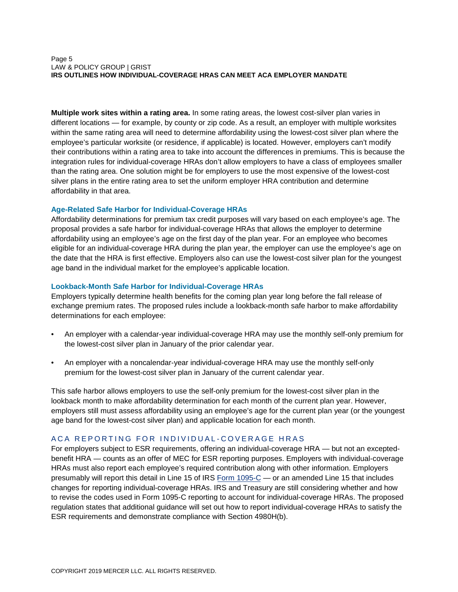#### Page 5 LAW & POLICY GROUP | GRIST **IRS OUTLINES HOW INDIVIDUAL-COVERAGE HRAS CAN MEET ACA EMPLOYER MANDATE**

**Multiple work sites within a rating area.** In some rating areas, the lowest cost-silver plan varies in different locations — for example, by county or zip code. As a result, an employer with multiple worksites within the same rating area will need to determine affordability using the lowest-cost silver plan where the employee's particular worksite (or residence, if applicable) is located. However, employers can't modify their contributions within a rating area to take into account the differences in premiums. This is because the integration rules for individual-coverage HRAs don't allow employers to have a class of employees smaller than the rating area. One solution might be for employers to use the most expensive of the lowest-cost silver plans in the entire rating area to set the uniform employer HRA contribution and determine affordability in that area.

## **Age-Related Safe Harbor for Individual-Coverage HRAs**

Affordability determinations for premium tax credit purposes will vary based on each employee's age. The proposal provides a safe harbor for individual-coverage HRAs that allows the employer to determine affordability using an employee's age on the first day of the plan year. For an employee who becomes eligible for an individual-coverage HRA during the plan year, the employer can use the employee's age on the date that the HRA is first effective. Employers also can use the lowest-cost silver plan for the youngest age band in the individual market for the employee's applicable location.

#### **Lookback-Month Safe Harbor for Individual-Coverage HRAs**

Employers typically determine health benefits for the coming plan year long before the fall release of exchange premium rates. The proposed rules include a lookback-month safe harbor to make affordability determinations for each employee:

- An employer with a calendar-year individual-coverage HRA may use the monthly self-only premium for the lowest-cost silver plan in January of the prior calendar year.
- An employer with a noncalendar-year individual-coverage HRA may use the monthly self-only premium for the lowest-cost silver plan in January of the current calendar year.

This safe harbor allows employers to use the self-only premium for the lowest-cost silver plan in the lookback month to make affordability determination for each month of the current plan year. However, employers still must assess affordability using an employee's age for the current plan year (or the youngest age band for the lowest-cost silver plan) and applicable location for each month.

## <span id="page-4-0"></span>ACA REPORTING FOR INDIVIDUAL-COVERAGE HRAS

For employers subject to ESR requirements, offering an individual-coverage HRA — but not an exceptedbenefit HRA — counts as an offer of MEC for ESR reporting purposes. Employers with individual-coverage HRAs must also report each employee's required contribution along with other information. Employers presumably will report this detail in Line 15 of IRS [Form 1095-C](https://www.irs.gov/forms-pubs/about-form-1095-c) — or an amended Line 15 that includes changes for reporting individual-coverage HRAs. IRS and Treasury are still considering whether and how to revise the codes used in Form 1095-C reporting to account for individual-coverage HRAs. The proposed regulation states that additional guidance will set out how to report individual-coverage HRAs to satisfy the ESR requirements and demonstrate compliance with Section 4980H(b).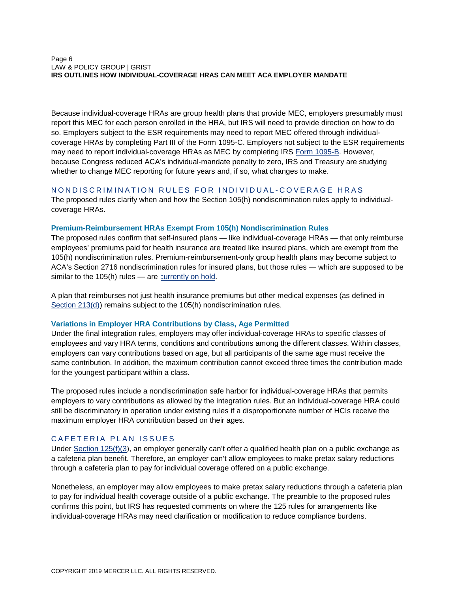#### Page 6 LAW & POLICY GROUP | GRIST **IRS OUTLINES HOW INDIVIDUAL-COVERAGE HRAS CAN MEET ACA EMPLOYER MANDATE**

Because individual-coverage HRAs are group health plans that provide MEC, employers presumably must report this MEC for each person enrolled in the HRA, but IRS will need to provide direction on how to do so. Employers subject to the ESR requirements may need to report MEC offered through individualcoverage HRAs by completing Part III of the Form 1095-C. Employers not subject to the ESR requirements may need to report individual-coverage HRAs as MEC by completing IRS [Form 1095-B.](https://www.irs.gov/forms-pubs/about-form-1095-b) However, because Congress reduced ACA's individual-mandate penalty to zero, IRS and Treasury are studying whether to change MEC reporting for future years and, if so, what changes to make.

## <span id="page-5-0"></span>NONDISCRIMINATION RULES FOR INDIVIDUAL-COVERAGE HRAS

The proposed rules clarify when and how the Section 105(h) nondiscrimination rules apply to individualcoverage HRAs.

#### **Premium-Reimbursement HRAs Exempt From 105(h) Nondiscrimination Rules**

The proposed rules confirm that self-insured plans — like individual-coverage HRAs — that only reimburse employees' premiums paid for health insurance are treated like insured plans, which are exempt from the 105(h) nondiscrimination rules. Premium-reimbursement-only group health plans may become subject to ACA's Section 2716 nondiscrimination rules for insured plans, but those rules — which are supposed to be similar to the 105(h) rules - are [currently on hold.](https://www.irs.gov/pub/irs-drop/n-11-01.pdf)

A plan that reimburses not just health insurance premiums but other medical expenses (as defined in [Section 213\(d\)](https://uscode.house.gov/view.xhtml?req=granuleid:USC-prelim-title26-section213&num=0&edition=prelim)) remains subject to the 105(h) nondiscrimination rules.

#### **Variations in Employer HRA Contributions by Class, Age Permitted**

Under the final integration rules, employers may offer individual-coverage HRAs to specific classes of employees and vary HRA terms, conditions and contributions among the different classes. Within classes, employers can vary contributions based on age, but all participants of the same age must receive the same contribution. In addition, the maximum contribution cannot exceed three times the contribution made for the youngest participant within a class.

The proposed rules include a nondiscrimination safe harbor for individual-coverage HRAs that permits employers to vary contributions as allowed by the integration rules. But an individual-coverage HRA could still be discriminatory in operation under existing rules if a disproportionate number of HCIs receive the maximum employer HRA contribution based on their ages.

## <span id="page-5-1"></span>CAFETERIA PLAN ISSUES

Under [Section 125\(f\)\(3\)](https://uscode.house.gov/view.xhtml?req=granuleid:USC-prelim-title26-section125&num=0&edition=prelim), an employer generally can't offer a qualified health plan on a public exchange as a cafeteria plan benefit. Therefore, an employer can't allow employees to make pretax salary reductions through a cafeteria plan to pay for individual coverage offered on a public exchange.

Nonetheless, an employer may allow employees to make pretax salary reductions through a cafeteria plan to pay for individual health coverage outside of a public exchange. The preamble to the proposed rules confirms this point, but IRS has requested comments on where the 125 rules for arrangements like individual-coverage HRAs may need clarification or modification to reduce compliance burdens.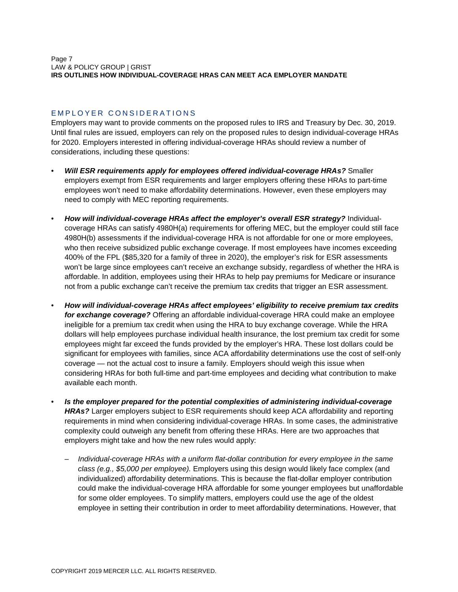## <span id="page-6-0"></span>E M P L O Y E R CONSIDERATIONS

Employers may want to provide comments on the proposed rules to IRS and Treasury by Dec. 30, 2019. Until final rules are issued, employers can rely on the proposed rules to design individual-coverage HRAs for 2020. Employers interested in offering individual-coverage HRAs should review a number of considerations, including these questions:

- *Will ESR requirements apply for employees offered individual-coverage HRAs?* Smaller employers exempt from ESR requirements and larger employers offering these HRAs to part-time employees won't need to make affordability determinations. However, even these employers may need to comply with MEC reporting requirements.
- *How will individual-coverage HRAs affect the employer's overall ESR strategy?* Individualcoverage HRAs can satisfy 4980H(a) requirements for offering MEC, but the employer could still face 4980H(b) assessments if the individual-coverage HRA is not affordable for one or more employees, who then receive subsidized public exchange coverage. If most employees have incomes exceeding 400% of the FPL (\$85,320 for a family of three in 2020), the employer's risk for ESR assessments won't be large since employees can't receive an exchange subsidy, regardless of whether the HRA is affordable. In addition, employees using their HRAs to help pay premiums for Medicare or insurance not from a public exchange can't receive the premium tax credits that trigger an ESR assessment.
- *How will individual-coverage HRAs affect employees' eligibility to receive premium tax credits for exchange coverage?* Offering an affordable individual-coverage HRA could make an employee ineligible for a premium tax credit when using the HRA to buy exchange coverage. While the HRA dollars will help employees purchase individual health insurance, the lost premium tax credit for some employees might far exceed the funds provided by the employer's HRA. These lost dollars could be significant for employees with families, since ACA affordability determinations use the cost of self-only coverage — not the actual cost to insure a family. Employers should weigh this issue when considering HRAs for both full-time and part-time employees and deciding what contribution to make available each month.
- *Is the employer prepared for the potential complexities of administering individual-coverage HRAs?* Larger employers subject to ESR requirements should keep ACA affordability and reporting requirements in mind when considering individual-coverage HRAs. In some cases, the administrative complexity could outweigh any benefit from offering these HRAs. Here are two approaches that employers might take and how the new rules would apply:
	- *Individual-coverage HRAs with a uniform flat-dollar contribution for every employee in the same class (e.g., \$5,000 per employee).* Employers using this design would likely face complex (and individualized) affordability determinations. This is because the flat-dollar employer contribution could make the individual-coverage HRA affordable for some younger employees but unaffordable for some older employees. To simplify matters, employers could use the age of the oldest employee in setting their contribution in order to meet affordability determinations. However, that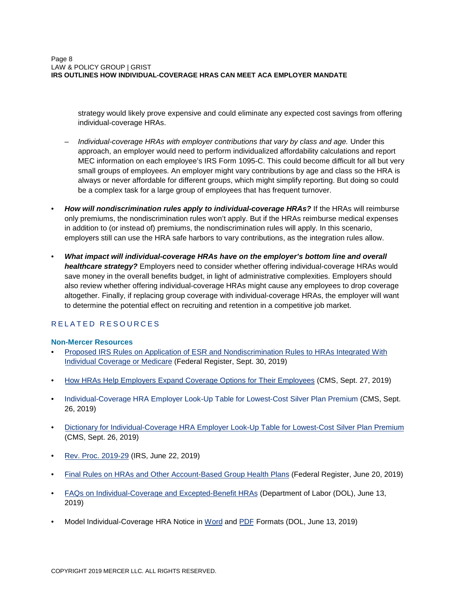strategy would likely prove expensive and could eliminate any expected cost savings from offering individual-coverage HRAs.

- *Individual-coverage HRAs with employer contributions that vary by class and age.* Under this approach, an employer would need to perform individualized affordability calculations and report MEC information on each employee's IRS Form 1095-C. This could become difficult for all but very small groups of employees. An employer might vary contributions by age and class so the HRA is always or never affordable for different groups, which might simplify reporting. But doing so could be a complex task for a large group of employees that has frequent turnover.
- *How will nondiscrimination rules apply to individual-coverage HRAs?* If the HRAs will reimburse only premiums, the nondiscrimination rules won't apply. But if the HRAs reimburse medical expenses in addition to (or instead of) premiums, the nondiscrimination rules will apply. In this scenario, employers still can use the HRA safe harbors to vary contributions, as the integration rules allow.
- *What impact will individual-coverage HRAs have on the employer's bottom line and overall healthcare strategy?* Employers need to consider whether offering individual-coverage HRAs would save money in the overall benefits budget, in light of administrative complexities. Employers should also review whether offering individual-coverage HRAs might cause any employees to drop coverage altogether. Finally, if replacing group coverage with individual-coverage HRAs, the employer will want to determine the potential effect on recruiting and retention in a competitive job market.

## <span id="page-7-0"></span>R E LATED RESOURCES

## **Non-Mercer Resources**

- [Proposed IRS Rules on Application of ESR and Nondiscrimination Rules to HRAs Integrated With](https://www.federalregister.gov/documents/2019/09/30/2019-20034/application-of-the-employer-shared-responsibility-provisions-and-certain-nondiscrimination-rules-to) [Individual Coverage or Medicare](https://www.federalregister.gov/documents/2019/09/30/2019-20034/application-of-the-employer-shared-responsibility-provisions-and-certain-nondiscrimination-rules-to) (Federal Register, Sept. 30, 2019)
- [How HRAs Help Employers Expand Coverage Options for Their Employees](https://www.cms.gov/blog/how-health-reimbursement-agreements-hras-help-employers-expand-coverage-options-their-employees) (CMS, Sept. 27, 2019)
- [Individual-Coverage HRA Employer Look-Up Table for Lowest-Cost Silver Plan Premium](https://www.cms.gov/CCIIO/Programs-and-Initiatives/Employer-Initiatives/Downloads/PY19-HRA-Employer-Look-Up-Table.xlsm) (CMS, Sept. 26, 2019)
- [Dictionary for Individual-Coverage HRA Employer Look-Up Table for Lowest-Cost Silver Plan Premium](https://www.cms.gov/CCIIO/Programs-and-Initiatives/Employer-Initiatives/Downloads/PH19-HRA-Tool-Data-Dictionary.pdf) (CMS, Sept. 26, 2019)
- [Rev. Proc. 2019-29](http://www.irs.gov/pub/irs-drop/rp-19-29.pdf) (IRS, June 22, 2019)
- [Final Rules on HRAs and Other Account-Based Group Health Plans](https://www.federalregister.gov/documents/2019/06/20/2019-12571/health-reimbursement-arrangements-and-other-account-based-group-health-plans) (Federal Register, June 20, 2019)
- [FAQs on Individual-Coverage and Excepted-Benefit HRAs](https://www.dol.gov/sites/default/files/ebsa/about-ebsa/our-activities/resource-center/faqs/health-reimbursement-arrangements.pdf) (Department of Labor (DOL), June 13, 2019)
- Model Individual-Coverage HRA Notice in [Word](https://www.dol.gov/sites/default/files/ebsa/laws-and-regulations/rules-and-regulations/completed-rulemaking/1210-AB87/individual-coverage-model-notice.docx) and [PDF](https://www.dol.gov/sites/default/files/ebsa/laws-and-regulations/rules-and-regulations/completed-rulemaking/1210-AB87/individual-coverage-model-notice.pdf) Formats (DOL, June 13, 2019)